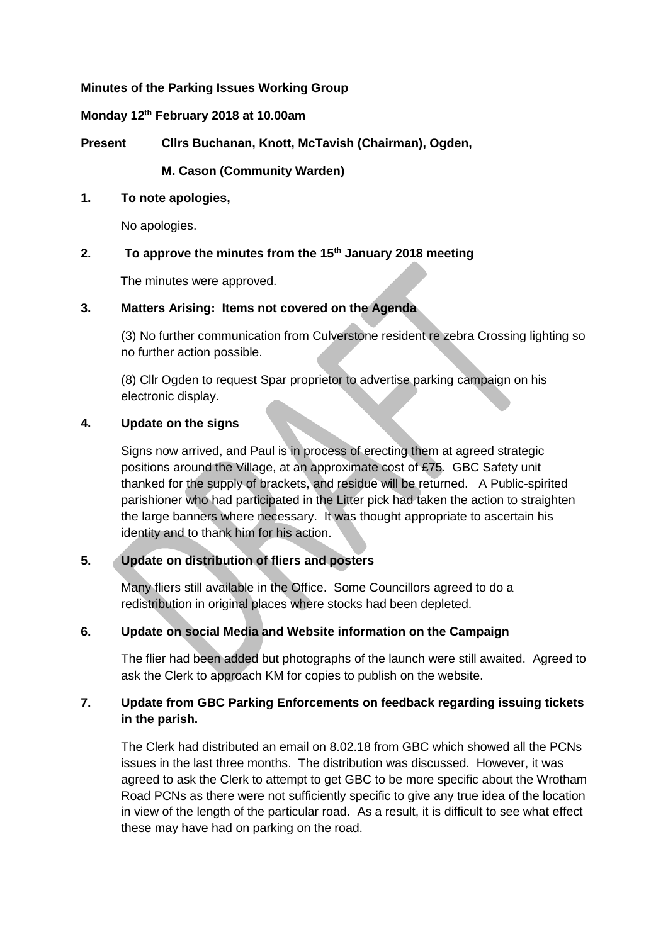#### **Minutes of the Parking Issues Working Group**

#### **Monday 12th February 2018 at 10.00am**

**Present Cllrs Buchanan, Knott, McTavish (Chairman), Ogden,** 

# **M. Cason (Community Warden)**

#### **1. To note apologies,**

No apologies.

# **2. To approve the minutes from the 15th January 2018 meeting**

The minutes were approved.

### **3. Matters Arising: Items not covered on the Agenda**

(3) No further communication from Culverstone resident re zebra Crossing lighting so no further action possible.

(8) Cllr Ogden to request Spar proprietor to advertise parking campaign on his electronic display.

### **4. Update on the signs**

Signs now arrived, and Paul is in process of erecting them at agreed strategic positions around the Village, at an approximate cost of £75. GBC Safety unit thanked for the supply of brackets, and residue will be returned. A Public-spirited parishioner who had participated in the Litter pick had taken the action to straighten the large banners where necessary. It was thought appropriate to ascertain his identity and to thank him for his action.

# **5. Update on distribution of fliers and posters**

Many fliers still available in the Office. Some Councillors agreed to do a redistribution in original places where stocks had been depleted.

### **6. Update on social Media and Website information on the Campaign**

The flier had been added but photographs of the launch were still awaited. Agreed to ask the Clerk to approach KM for copies to publish on the website.

# **7. Update from GBC Parking Enforcements on feedback regarding issuing tickets in the parish.**

The Clerk had distributed an email on 8.02.18 from GBC which showed all the PCNs issues in the last three months. The distribution was discussed. However, it was agreed to ask the Clerk to attempt to get GBC to be more specific about the Wrotham Road PCNs as there were not sufficiently specific to give any true idea of the location in view of the length of the particular road. As a result, it is difficult to see what effect these may have had on parking on the road.